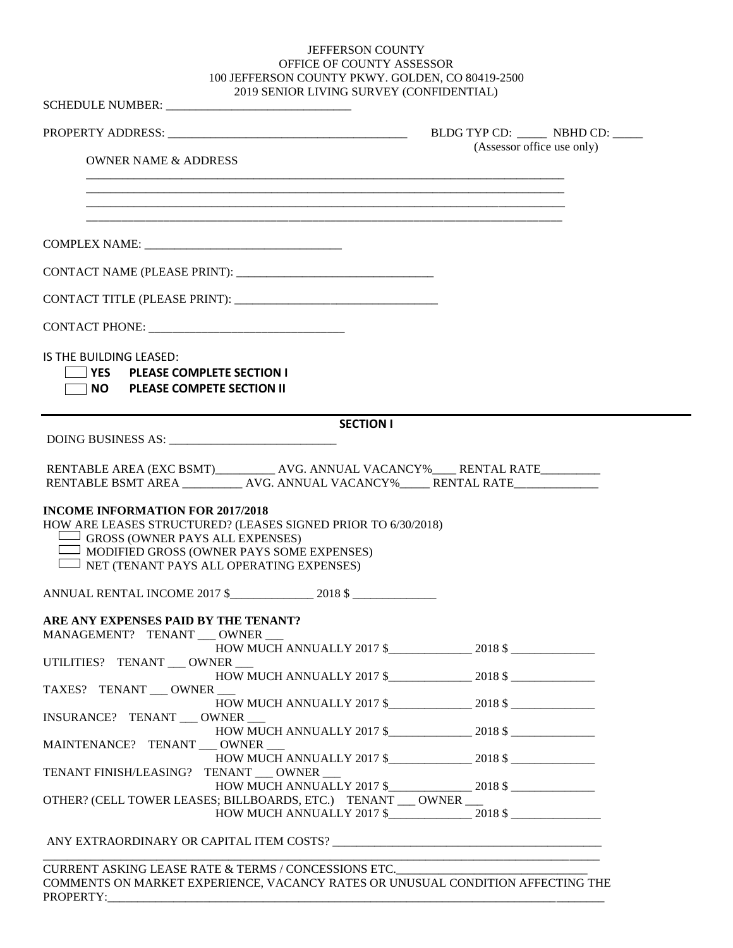## JEFFERSON COUNTY OFFICE OF COUNTY ASSESSOR 100 JEFFERSON COUNTY PKWY. GOLDEN, CO 80419-2500 2019 SENIOR LIVING SURVEY (CONFIDENTIAL)

|                                                                                                                                                                                                       | (Assessor office use only) |  |
|-------------------------------------------------------------------------------------------------------------------------------------------------------------------------------------------------------|----------------------------|--|
| <b>OWNER NAME &amp; ADDRESS</b>                                                                                                                                                                       |                            |  |
|                                                                                                                                                                                                       |                            |  |
| <u> 1989 - Johann Stoff, deutscher Stoff, der Stoff, der Stoff, der Stoff, der Stoff, der Stoff, der Stoff, der S</u>                                                                                 |                            |  |
|                                                                                                                                                                                                       |                            |  |
|                                                                                                                                                                                                       |                            |  |
|                                                                                                                                                                                                       |                            |  |
|                                                                                                                                                                                                       |                            |  |
| IS THE BUILDING LEASED:                                                                                                                                                                               |                            |  |
| VES PLEASE COMPLETE SECTION I                                                                                                                                                                         |                            |  |
| NO PLEASE COMPETE SECTION II                                                                                                                                                                          |                            |  |
| <b>SECTION I</b>                                                                                                                                                                                      |                            |  |
|                                                                                                                                                                                                       |                            |  |
|                                                                                                                                                                                                       |                            |  |
| RENTABLE AREA (EXC BSMT)____________ AVG. ANNUAL VACANCY%_____ RENTAL RATE__________<br>RENTABLE BSMT AREA ___________ AVG. ANNUAL VACANCY%_____ RENTAL RATE____________                              |                            |  |
| $\Box$ GROSS (OWNER PAYS ALL EXPENSES)<br>$\Box$ MODIFIED GROSS (OWNER PAYS SOME EXPENSES)<br>I NET (TENANT PAYS ALL OPERATING EXPENSES)                                                              |                            |  |
|                                                                                                                                                                                                       |                            |  |
| <b>INCOME INFORMATION FOR 2017/2018</b><br>HOW ARE LEASES STRUCTURED? (LEASES SIGNED PRIOR TO 6/30/2018)<br>ANNUAL RENTAL INCOME 2017 \$2018 \$2018 \$2018 \$<br>ARE ANY EXPENSES PAID BY THE TENANT? |                            |  |
| MANAGEMENT? TENANT __ OWNER __                                                                                                                                                                        |                            |  |
| UTILITIES? TENANT __ OWNER __                                                                                                                                                                         |                            |  |
| TAXES? TENANT OWNER                                                                                                                                                                                   |                            |  |
| INSURANCE? TENANT ___ OWNER ___                                                                                                                                                                       |                            |  |
| HOW MUCH ANNUALLY $2017$ \$ $2018$ \$                                                                                                                                                                 |                            |  |
|                                                                                                                                                                                                       |                            |  |
| MAINTENANCE? TENANT ___ OWNER ___<br>TENANT FINISH/LEASING? TENANT __ OWNER __                                                                                                                        |                            |  |
| OTHER? (CELL TOWER LEASES; BILLBOARDS, ETC.) TENANT __ OWNER __                                                                                                                                       |                            |  |